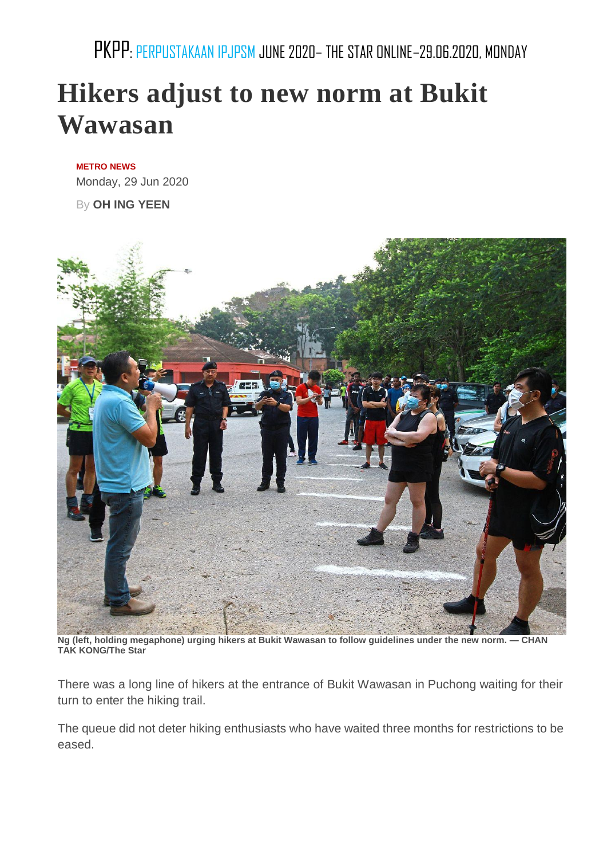PKPP: PERPUSTAKAAN IPJPSM JUNE 2020– THE STAR ONLINE–29.06.2020, MONDAY

## **Hikers adjust to new norm at Bukit Wawasan**

## **[METRO](https://www.thestar.com.my/metro/metro-news/) NEWS**

Monday, 29 Jun 2020

By **OH ING [YEEN](https://www.thestar.com.my/authors?q=OH+ING+YEEN)**



**Ng (left, holding megaphone) urging hikers at Bukit Wawasan to follow guidelines under the new norm. — CHAN TAK KONG/The Star**

There was a long line of hikers at the entrance of Bukit Wawasan in Puchong waiting for their turn to enter the hiking trail.

The queue did not deter hiking enthusiasts who have waited three months for restrictions to be eased.